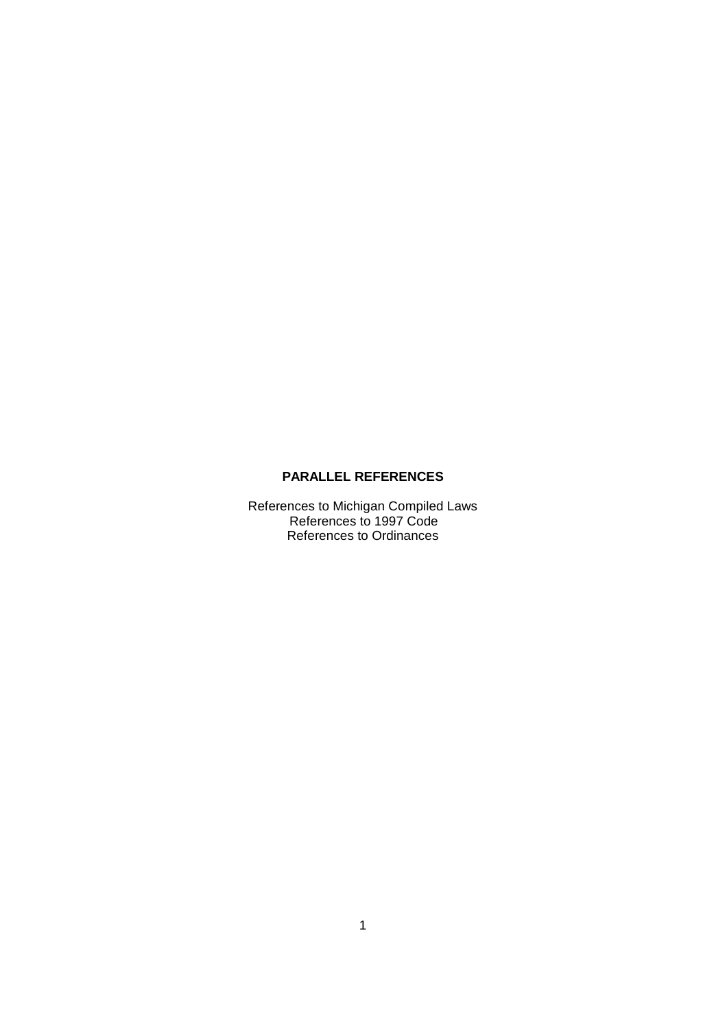## **PARALLEL REFERENCES**

References to Michigan Compiled Laws References to 1997 Code References to Ordinances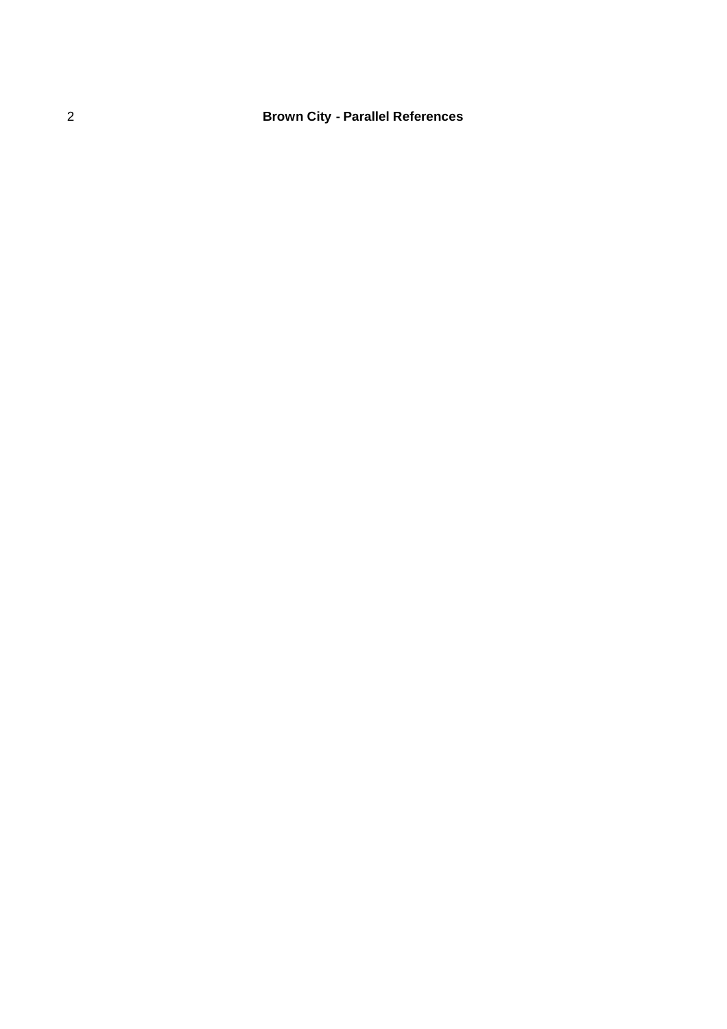# **Brown City - Parallel References**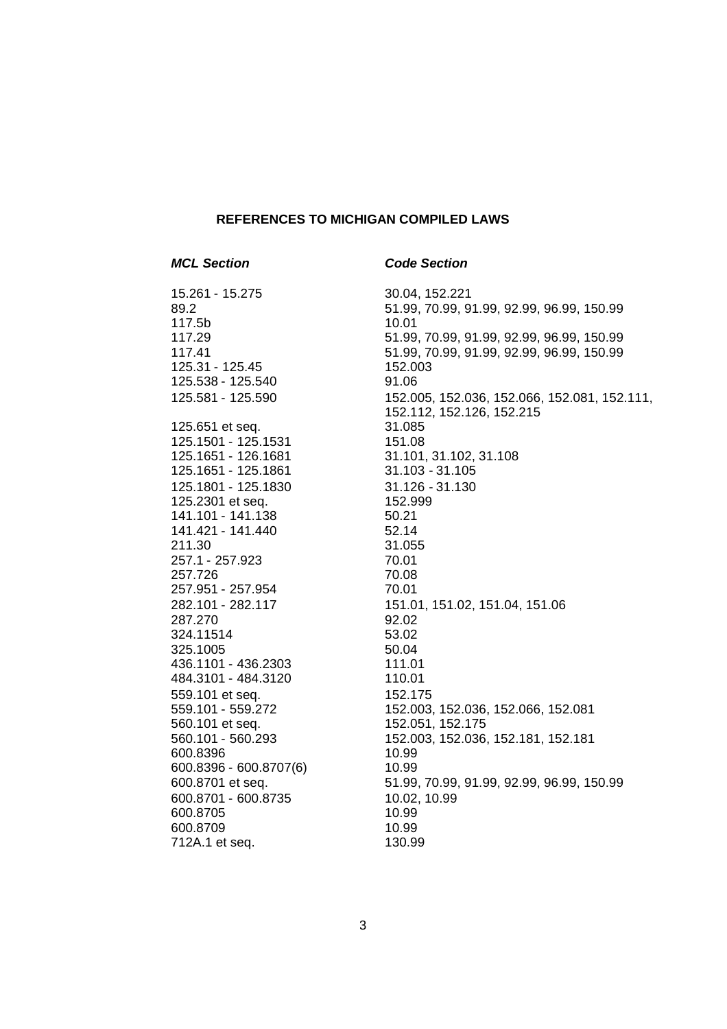### **REFERENCES TO MICHIGAN COMPILED LAWS**

| <b>MCL Section</b>     | <b>Code Section</b>                          |
|------------------------|----------------------------------------------|
| 15.261 - 15.275        | 30.04, 152.221                               |
| 89.2                   | 51.99, 70.99, 91.99, 92.99, 96.99, 150.99    |
| 117.5b                 | 10.01                                        |
| 117.29                 | 51.99, 70.99, 91.99, 92.99, 96.99, 150.99    |
| 117.41                 | 51.99, 70.99, 91.99, 92.99, 96.99, 150.99    |
| 125.31 - 125.45        | 152.003                                      |
| 125.538 - 125.540      | 91.06                                        |
| 125.581 - 125.590      | 152.005, 152.036, 152.066, 152.081, 152.111, |
|                        | 152.112, 152.126, 152.215                    |
| 125.651 et seq.        | 31.085                                       |
| 125.1501 - 125.1531    | 151.08                                       |
| 125.1651 - 126.1681    | 31.101, 31.102, 31.108                       |
| 125.1651 - 125.1861    | 31.103 - 31.105                              |
| 125.1801 - 125.1830    | 31.126 - 31.130                              |
| 125.2301 et seq.       | 152.999                                      |
| 141.101 - 141.138      | 50.21                                        |
| 141.421 - 141.440      | 52.14                                        |
| 211.30                 | 31.055                                       |
| 257.1 - 257.923        | 70.01                                        |
| 257.726                | 70.08                                        |
| 257.951 - 257.954      | 70.01                                        |
| 282.101 - 282.117      | 151.01, 151.02, 151.04, 151.06               |
| 287.270                | 92.02                                        |
| 324.11514              | 53.02                                        |
| 325.1005               | 50.04                                        |
| 436.1101 - 436.2303    | 111.01                                       |
| 484.3101 - 484.3120    | 110.01                                       |
| 559.101 et seq.        | 152.175                                      |
| 559.101 - 559.272      | 152.003, 152.036, 152.066, 152.081           |
| 560.101 et seq.        | 152.051, 152.175                             |
| 560.101 - 560.293      | 152.003, 152.036, 152.181, 152.181           |
| 600.8396               | 10.99                                        |
| 600.8396 - 600.8707(6) | 10.99                                        |
| 600.8701 et seq.       | 51.99, 70.99, 91.99, 92.99, 96.99, 150.99    |
| 600.8701 - 600.8735    | 10.02, 10.99                                 |
| 600.8705               | 10.99                                        |
| 600.8709               | 10.99                                        |
| 712A.1 et seq.         | 130.99                                       |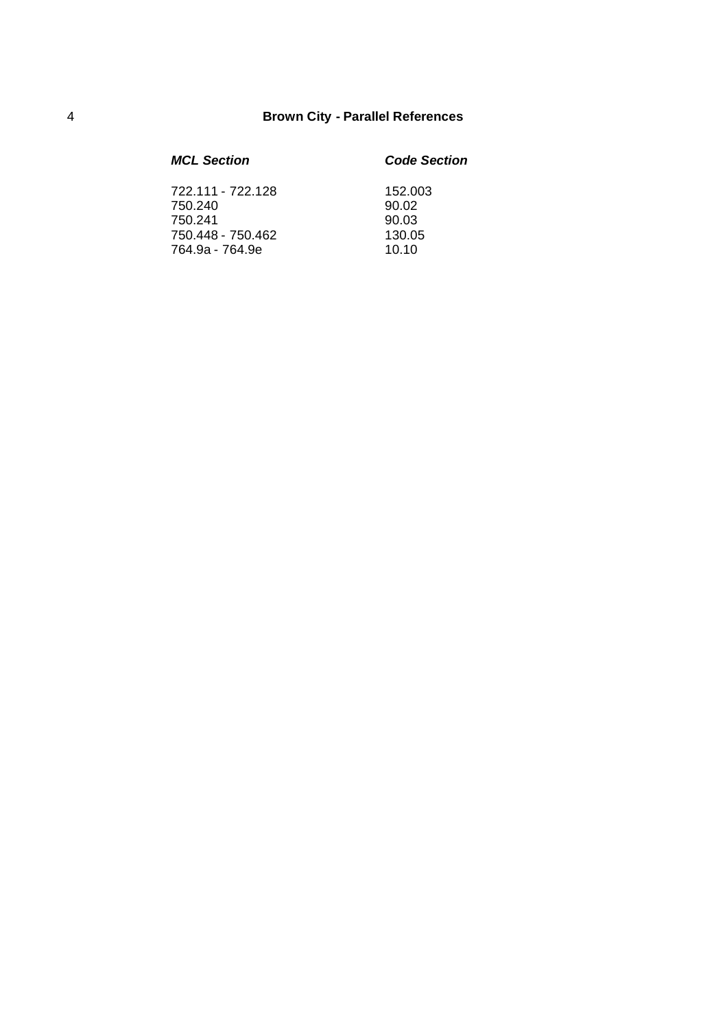# 4 **Brown City - Parallel References**

#### *MCL Section Code Section*

| 722.111 - 722.128 |
|-------------------|
| 750.240           |
| 750.241           |
| 750.448 - 750.462 |
| 764.9a - 764.9e   |

152.003  $90.02$ 90.03 130.05  $10.10$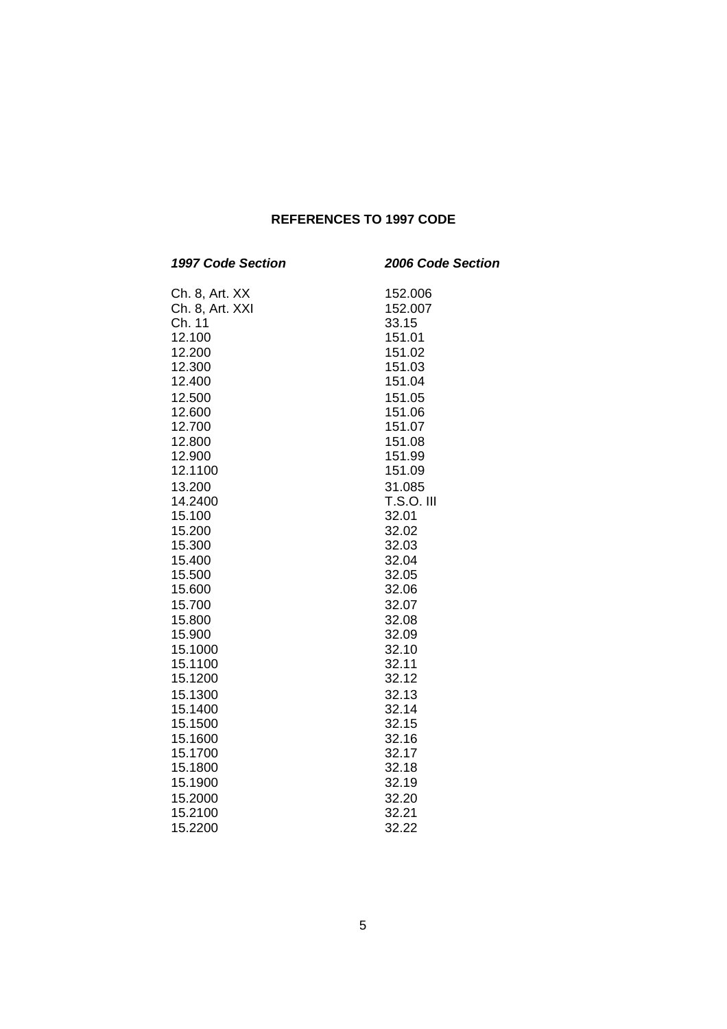### **REFERENCES TO 1997 CODE**

| <b>1997 Code Section</b> | 2006 Code Section |
|--------------------------|-------------------|
| Ch. 8, Art. XX           | 152.006           |
| Ch. 8, Art. XXI          | 152.007           |
| Ch. 11                   | 33.15             |
| 12.100                   | 151.01            |
| 12.200                   | 151.02            |
| 12.300                   | 151.03            |
| 12.400                   | 151.04            |
| 12.500                   | 151.05            |
| 12.600                   | 151.06            |
| 12.700                   | 151.07            |
| 12.800                   | 151.08            |
| 12.900                   | 151.99            |
| 12.1100                  | 151.09            |
| 13.200                   | 31.085            |
| 14.2400                  | <b>T.S.O. III</b> |
| 15.100                   | 32.01             |
| 15.200                   | 32.02             |
| 15.300                   | 32.03             |
| 15.400                   | 32.04             |
| 15.500                   | 32.05             |
| 15.600                   | 32.06             |
| 15.700                   | 32.07             |
| 15.800                   | 32.08             |
| 15.900                   | 32.09             |
| 15.1000                  | 32.10             |
| 15.1100                  | 32.11             |
| 15.1200                  | 32.12             |
| 15.1300                  | 32.13             |
| 15.1400                  | 32.14             |
| 15.1500                  | 32.15             |
| 15.1600                  | 32.16             |
| 15.1700                  | 32.17             |
| 15.1800                  | 32.18             |
| 15.1900                  | 32.19             |
| 15.2000                  | 32.20             |
| 15.2100                  | 32.21             |
| 15.2200                  | 32.22             |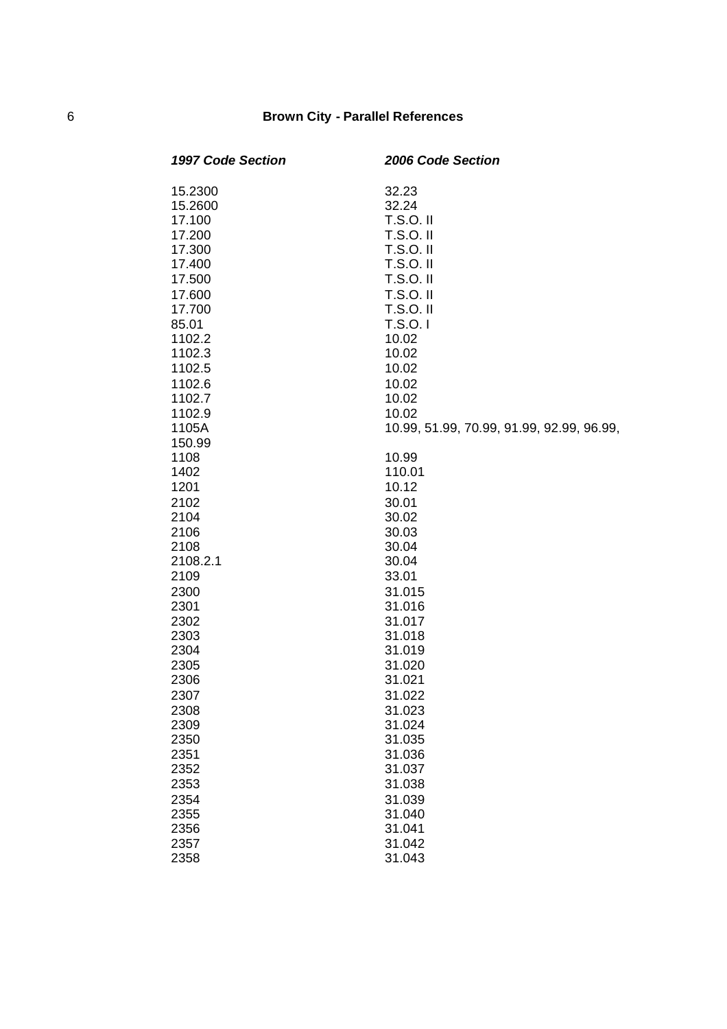| <b>1997 Code Section</b> | 2006 Code Section                         |
|--------------------------|-------------------------------------------|
| 15.2300                  | 32.23                                     |
| 15.2600                  | 32.24                                     |
| 17.100                   | T.S.O. II                                 |
| 17.200                   | <b>T.S.O. II</b>                          |
| 17.300                   | <b>T.S.O. II</b>                          |
| 17.400                   | <b>T.S.O. II</b>                          |
| 17.500                   | T.S.O. II                                 |
| 17.600                   | <b>T.S.O. II</b>                          |
| 17.700                   | <b>T.S.O. II</b>                          |
| 85.01                    | T.S.O.1                                   |
| 1102.2                   | 10.02                                     |
| 1102.3                   | 10.02                                     |
| 1102.5                   | 10.02                                     |
| 1102.6                   | 10.02                                     |
| 1102.7                   | 10.02                                     |
| 1102.9                   | 10.02                                     |
| 1105A                    | 10.99, 51.99, 70.99, 91.99, 92.99, 96.99, |
| 150.99                   |                                           |
| 1108                     | 10.99                                     |
| 1402                     | 110.01                                    |
| 1201                     | 10.12                                     |
| 2102                     | 30.01                                     |
| 2104                     | 30.02                                     |
| 2106                     | 30.03                                     |
| 2108                     | 30.04                                     |
| 2108.2.1<br>2109         | 30.04<br>33.01                            |
|                          |                                           |
| 2300<br>2301             | 31.015<br>31.016                          |
| 2302                     | 31.017                                    |
| 2303                     | 31.018                                    |
| 2304                     | 31.019                                    |
| 2305                     | 31.020                                    |
| 2306                     | 31.021                                    |
| 2307                     | 31.022                                    |
| 2308                     | 31.023                                    |
| 2309                     | 31.024                                    |
| 2350                     | 31.035                                    |
| 2351                     | 31.036                                    |
| 2352                     | 31.037                                    |
| 2353                     | 31.038                                    |
| 2354                     | 31.039                                    |
| 2355                     | 31.040                                    |
| 2356                     | 31.041                                    |
| 2357                     | 31.042                                    |
| 2358                     | 31.043                                    |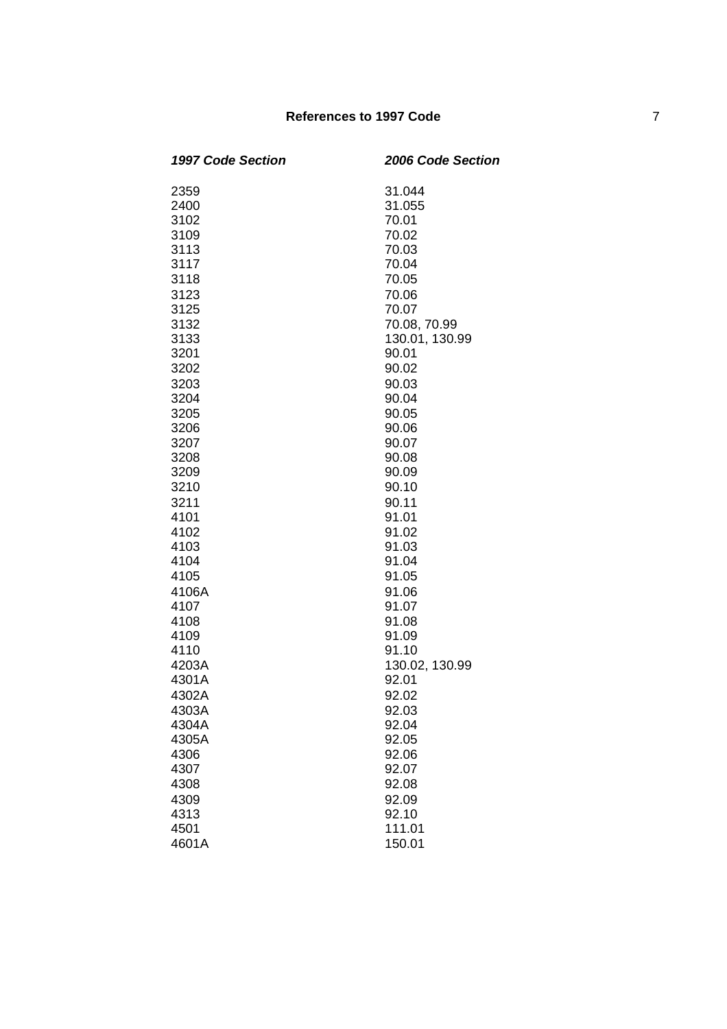| <b>1997 Code Section</b> | 2006 Code Section       |
|--------------------------|-------------------------|
| 2359                     | 31.044                  |
| 2400                     | 31.055                  |
| 3102                     | 70.01                   |
| 3109<br>3113             | 70.02<br>70.03          |
| 3117                     | 70.04                   |
| 3118                     | 70.05                   |
| 3123                     | 70.06                   |
| 3125                     | 70.07                   |
| 3132                     | 70.08, 70.99            |
| 3133                     | 130.01, 130.99          |
| 3201                     | 90.01                   |
| 3202                     | 90.02                   |
| 3203                     | 90.03                   |
| 3204                     | 90.04                   |
| 3205                     | 90.05                   |
| 3206                     | 90.06                   |
| 3207<br>3208             | 90.07<br>90.08          |
| 3209                     | 90.09                   |
| 3210                     | 90.10                   |
| 3211                     | 90.11                   |
| 4101                     | 91.01                   |
| 4102                     | 91.02                   |
| 4103                     | 91.03                   |
| 4104                     | 91.04                   |
| 4105                     | 91.05                   |
| 4106A                    | 91.06                   |
| 4107                     | 91.07                   |
| 4108                     | 91.08                   |
| 4109                     | 91.09                   |
| 4110<br>4203A            | 91.10                   |
| 4301A                    | 130.02, 130.99<br>92.01 |
| 4302A                    | 92.02                   |
| 4303A                    | 92.03                   |
| 4304A                    | 92.04                   |
| 4305A                    | 92.05                   |
| 4306                     | 92.06                   |
| 4307                     | 92.07                   |
| 4308                     | 92.08                   |
| 4309                     | 92.09                   |
| 4313                     | 92.10                   |
| 4501                     | 111.01                  |
| 4601A                    | 150.01                  |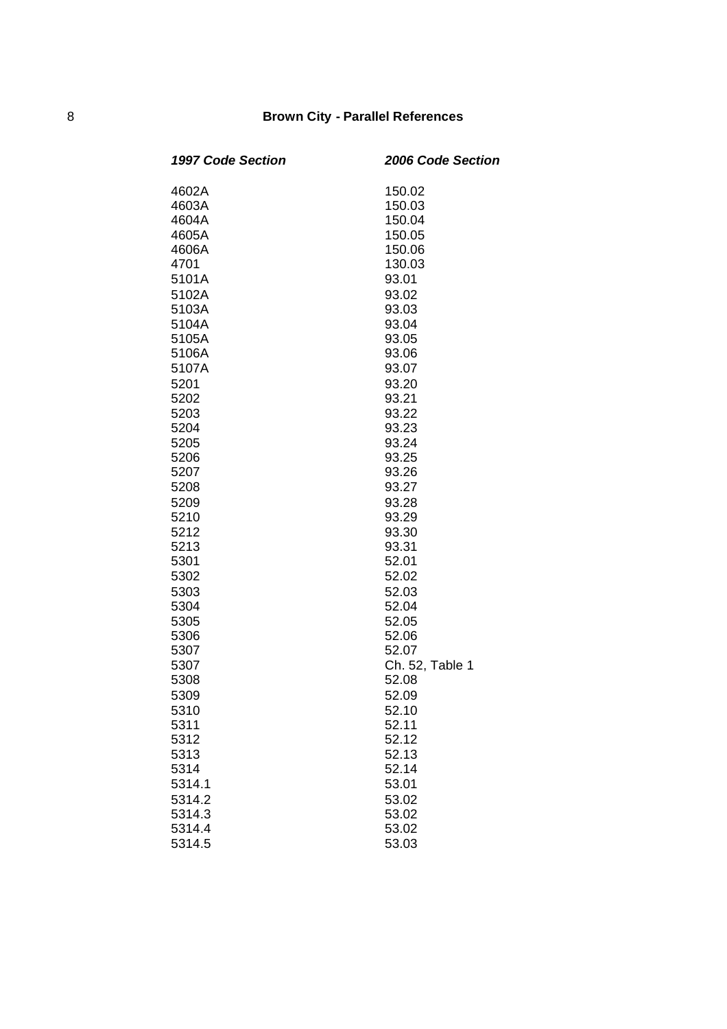| <b>1997 Code Section</b> | 2006 Code Section        |
|--------------------------|--------------------------|
| 4602A                    | 150.02                   |
| 4603A                    | 150.03                   |
| 4604A<br>4605A           | 150.04<br>150.05         |
| 4606A                    | 150.06                   |
| 4701                     | 130.03                   |
| 5101A                    | 93.01                    |
| 5102A                    | 93.02                    |
| 5103A                    | 93.03                    |
| 5104A                    | 93.04                    |
| 5105A                    | 93.05                    |
| 5106A                    | 93.06                    |
| 5107A                    | 93.07                    |
| 5201                     | 93.20                    |
| 5202                     | 93.21                    |
| 5203                     | 93.22                    |
| 5204                     | 93.23                    |
| 5205                     | 93.24                    |
| 5206<br>5207             | 93.25<br>93.26           |
| 5208                     | 93.27                    |
| 5209                     | 93.28                    |
| 5210                     | 93.29                    |
| 5212                     | 93.30                    |
| 5213                     | 93.31                    |
| 5301                     | 52.01                    |
| 5302                     | 52.02                    |
| 5303                     | 52.03                    |
| 5304                     | 52.04                    |
| 5305                     | 52.05                    |
| 5306                     | 52.06                    |
| 5307<br>5307             | 52.07<br>Ch. 52, Table 1 |
| 5308                     | 52.08                    |
| 5309                     | 52.09                    |
| 5310                     | 52.10                    |
| 5311                     | 52.11                    |
| 5312                     | 52.12                    |
| 5313                     | 52.13                    |
| 5314                     | 52.14                    |
| 5314.1                   | 53.01                    |
| 5314.2                   | 53.02                    |
| 5314.3                   | 53.02                    |
| 5314.4                   | 53.02                    |
| 5314.5                   | 53.03                    |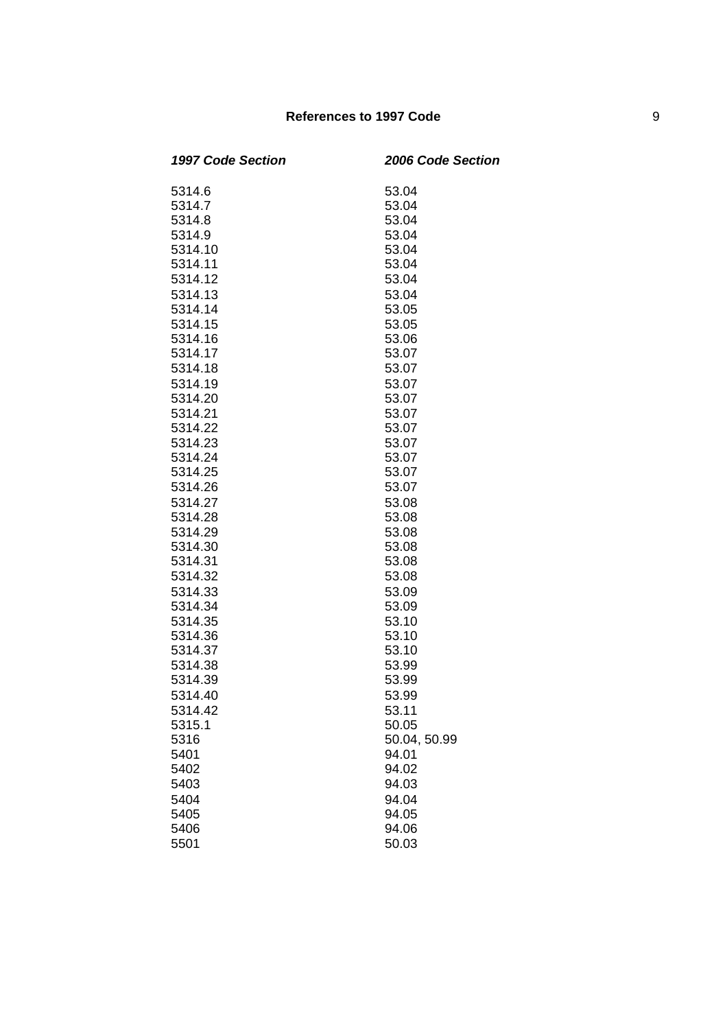| <b>1997 Code Section</b> | 2006 Code Section |
|--------------------------|-------------------|
| 5314.6                   | 53.04             |
| 5314.7                   | 53.04             |
| 5314.8                   | 53.04             |
| 5314.9                   | 53.04             |
| 5314.10                  | 53.04             |
| 5314.11                  | 53.04             |
| 5314.12                  | 53.04             |
| 5314.13                  | 53.04             |
| 5314.14                  | 53.05             |
| 5314.15                  | 53.05             |
| 5314.16                  | 53.06             |
| 5314.17                  | 53.07             |
| 5314.18                  | 53.07             |
| 5314.19                  | 53.07             |
| 5314.20                  | 53.07             |
| 5314.21                  | 53.07             |
| 5314.22                  | 53.07             |
| 5314.23                  | 53.07             |
| 5314.24                  | 53.07             |
| 5314.25                  | 53.07             |
| 5314.26                  | 53.07             |
| 5314.27                  | 53.08             |
| 5314.28                  | 53.08             |
| 5314.29                  | 53.08             |
| 5314.30                  | 53.08             |
| 5314.31                  | 53.08             |
| 5314.32                  | 53.08             |
| 5314.33                  | 53.09             |
| 5314.34                  | 53.09             |
| 5314.35                  | 53.10             |
| 5314.36                  | 53.10             |
| 5314.37                  | 53.10             |
| 5314.38                  | 53.99             |
| 5314.39                  | 53.99             |
| 5314.40                  | 53.99             |
| 5314.42                  | 53.11             |
| 5315.1                   | 50.05             |
| 5316                     | 50.04, 50.99      |
| 5401                     | 94.01             |
| 5402                     | 94.02             |
| 5403                     | 94.03             |
| 5404                     | 94.04             |
| 5405                     | 94.05             |
| 5406                     | 94.06             |
| 5501                     | 50.03             |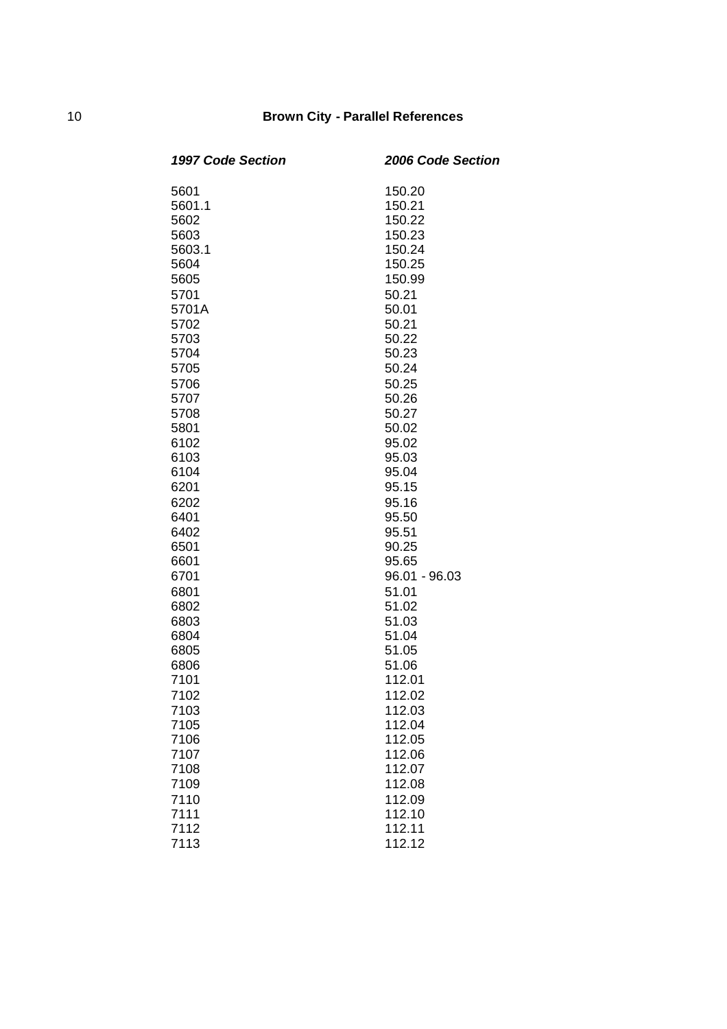| <b>1997 Code Section</b> | 2006 Code Section |
|--------------------------|-------------------|
| 5601                     | 150.20            |
| 5601.1                   | 150.21            |
| 5602                     | 150.22            |
| 5603                     | 150.23            |
| 5603.1                   | 150.24            |
| 5604                     | 150.25            |
| 5605                     | 150.99            |
| 5701                     | 50.21             |
| 5701A                    | 50.01             |
| 5702                     | 50.21             |
| 5703                     | 50.22             |
| 5704                     | 50.23             |
| 5705                     | 50.24             |
| 5706                     | 50.25             |
| 5707                     | 50.26             |
| 5708                     | 50.27             |
| 5801                     | 50.02             |
| 6102                     | 95.02             |
| 6103                     | 95.03             |
| 6104                     | 95.04             |
| 6201                     | 95.15             |
| 6202                     | 95.16             |
| 6401                     | 95.50             |
| 6402                     | 95.51             |
| 6501                     | 90.25             |
| 6601                     | 95.65             |
| 6701                     | 96.01 - 96.03     |
| 6801                     | 51.01             |
| 6802                     | 51.02             |
| 6803                     | 51.03             |
| 6804                     | 51.04             |
| 6805                     | 51.05             |
| 6806                     | 51.06             |
| 7101                     | 112.01            |
| 7102                     | 112.02            |
| 7103                     | 112.03            |
| 7105                     | 112.04            |
| 7106                     | 112.05            |
| 7107                     | 112.06            |
| 7108                     | 112.07            |
| 7109                     | 112.08            |
| 7110                     | 112.09            |
| 7111                     | 112.10            |
| 7112                     | 112.11            |
| 7113                     | 112.12            |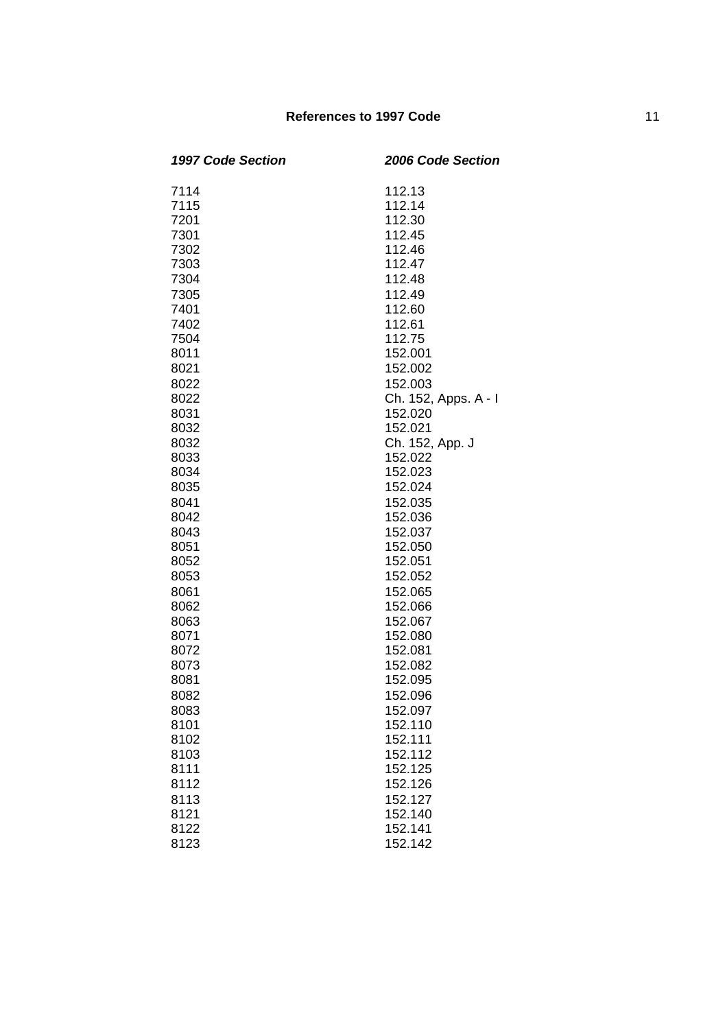| <b>1997 Code Section</b> | 2006 Code Section    |
|--------------------------|----------------------|
| 7114                     | 112.13               |
| 7115                     | 112.14               |
| 7201                     | 112.30               |
| 7301                     | 112.45               |
| 7302                     | 112.46               |
| 7303                     | 112.47               |
| 7304                     | 112.48               |
| 7305<br>7401             | 112.49<br>112.60     |
| 7402                     | 112.61               |
| 7504                     | 112.75               |
| 8011                     | 152.001              |
| 8021                     | 152.002              |
| 8022                     | 152.003              |
| 8022                     | Ch. 152, Apps. A - I |
| 8031                     | 152.020              |
| 8032                     | 152.021              |
| 8032                     | Ch. 152, App. J      |
| 8033                     | 152.022              |
| 8034                     | 152.023              |
| 8035                     | 152.024              |
| 8041                     | 152.035              |
| 8042                     | 152.036              |
| 8043                     | 152.037              |
| 8051<br>8052             | 152.050<br>152.051   |
| 8053                     | 152.052              |
| 8061                     | 152.065              |
| 8062                     | 152.066              |
| 8063                     | 152.067              |
| 8071                     | 152.080              |
| 8072                     | 152.081              |
| 8073                     | 152.082              |
| 8081                     | 152.095              |
| 8082                     | 152.096              |
| 8083                     | 152.097              |
| 8101                     | 152.110              |
| 8102                     | 152.111              |
| 8103                     | 152.112              |
| 8111                     | 152.125              |
| 8112                     | 152.126              |
| 8113                     | 152.127              |
| 8121                     | 152.140<br>152.141   |
| 8122<br>8123             | 152.142              |
|                          |                      |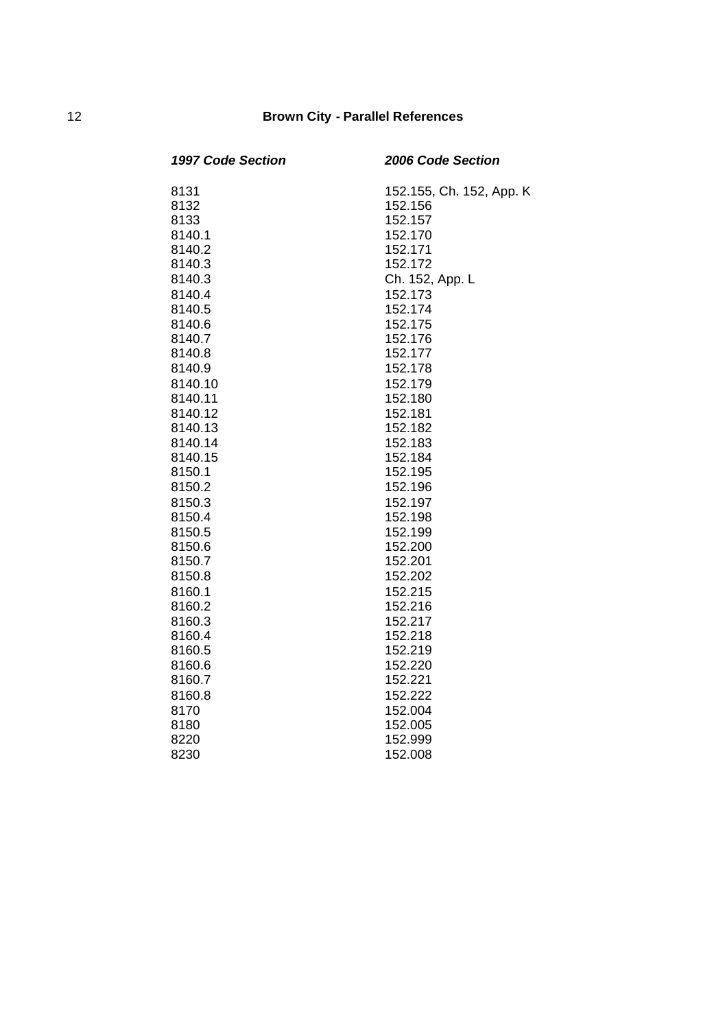| <b>1997 Code Section</b> | 2006 Code Section        |
|--------------------------|--------------------------|
| 8131                     | 152.155, Ch. 152, App. K |
| 8132                     | 152.156                  |
| 8133                     | 152.157                  |
| 8140.1                   | 152.170                  |
| 8140.2                   | 152.171                  |
| 8140.3                   | 152.172                  |
| 8140.3                   | Ch. 152, App. L          |
| 8140.4                   | 152.173                  |
| 8140.5                   | 152.174                  |
| 8140.6                   | 152.175                  |
| 8140.7                   | 152.176                  |
| 8140.8                   | 152.177                  |
| 8140.9                   | 152.178                  |
| 8140.10                  | 152.179                  |
| 8140.11                  | 152.180                  |
| 8140.12                  | 152.181                  |
| 8140.13                  | 152.182                  |
| 8140.14                  | 152.183                  |
| 8140.15                  | 152.184                  |
| 8150.1                   | 152.195                  |
| 8150.2                   | 152.196                  |
| 8150.3                   | 152.197                  |
| 8150.4                   | 152.198                  |
| 8150.5                   | 152.199                  |
| 8150.6                   | 152.200                  |
| 8150.7                   | 152.201                  |
| 8150.8                   | 152.202                  |
| 8160.1                   | 152.215                  |
| 8160.2                   | 152.216                  |
| 8160.3                   | 152.217                  |
| 8160.4                   | 152.218                  |
| 8160.5                   | 152.219                  |
| 8160.6                   | 152.220                  |
| 8160.7                   | 152.221                  |
| 8160.8                   | 152.222                  |
| 8170                     | 152.004                  |
| 8180                     | 152.005                  |
| 8220                     | 152.999                  |
| 8230                     | 152.008                  |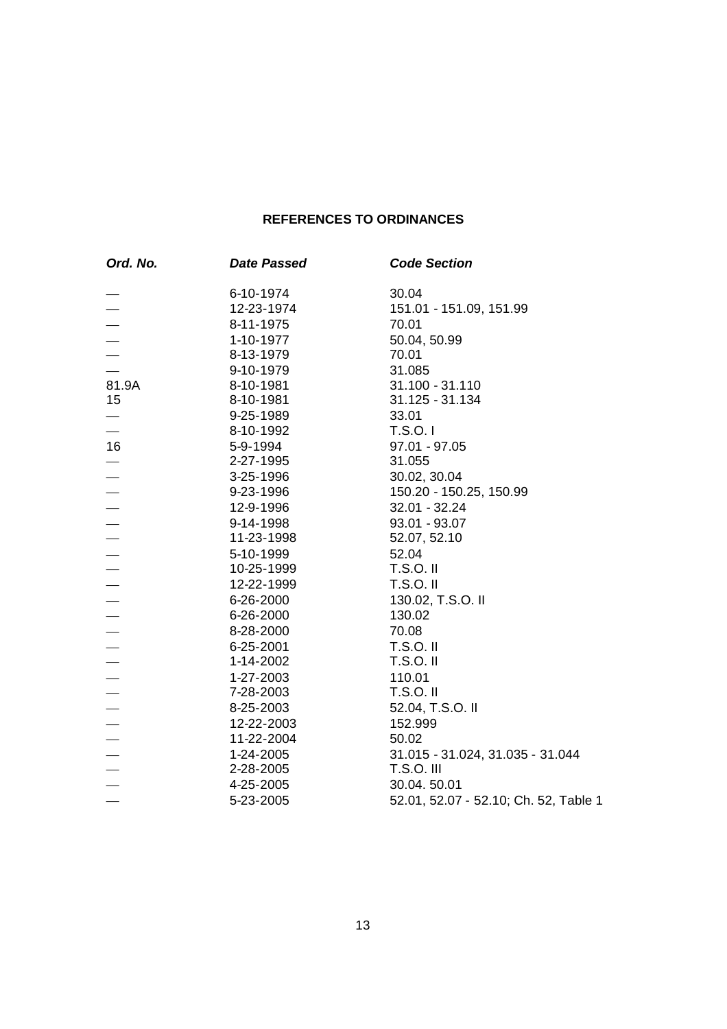### **REFERENCES TO ORDINANCES**

| Ord. No.                 | <b>Date Passed</b> | <b>Code Section</b>                   |
|--------------------------|--------------------|---------------------------------------|
|                          | 6-10-1974          | 30.04                                 |
|                          | 12-23-1974         | 151.01 - 151.09, 151.99               |
|                          | 8-11-1975          | 70.01                                 |
| $\frac{1}{1}$            | 1-10-1977          | 50.04, 50.99                          |
|                          | 8-13-1979          | 70.01                                 |
|                          | 9-10-1979          | 31.085                                |
| 81.9A                    | 8-10-1981          | 31.100 - 31.110                       |
| 15                       | 8-10-1981          | 31.125 - 31.134                       |
|                          | 9-25-1989          | 33.01                                 |
|                          | 8-10-1992          | <b>T.S.O.1</b>                        |
| 16                       | 5-9-1994           | 97.01 - 97.05                         |
|                          | 2-27-1995          | 31.055                                |
|                          | 3-25-1996          | 30.02, 30.04                          |
| $\frac{1}{2}$            | 9-23-1996          | 150.20 - 150.25, 150.99               |
| $\overline{\phantom{0}}$ | 12-9-1996          | 32.01 - 32.24                         |
|                          | 9-14-1998          | 93.01 - 93.07                         |
|                          | 11-23-1998         | 52.07, 52.10                          |
|                          | 5-10-1999          | 52.04                                 |
|                          | 10-25-1999         | T.S.O. II                             |
|                          | 12-22-1999         | T.S.O. II                             |
|                          | 6-26-2000          | 130.02, T.S.O. II                     |
|                          | 6-26-2000          | 130.02                                |
| $\overline{\phantom{0}}$ | 8-28-2000          | 70.08                                 |
|                          | 6-25-2001          | T.S.O. II                             |
| $\equiv$                 | 1-14-2002          | T.S.O. II                             |
|                          | 1-27-2003          | 110.01                                |
|                          | 7-28-2003          | T.S.O. II                             |
|                          | 8-25-2003          | 52.04, T.S.O. II                      |
|                          | 12-22-2003         | 152.999                               |
|                          | 11-22-2004         | 50.02                                 |
|                          | 1-24-2005          | 31.015 - 31.024, 31.035 - 31.044      |
|                          | 2-28-2005          | <b>T.S.O. III</b>                     |
|                          | 4-25-2005          | 30.04.50.01                           |
|                          | 5-23-2005          | 52.01, 52.07 - 52.10; Ch. 52, Table 1 |